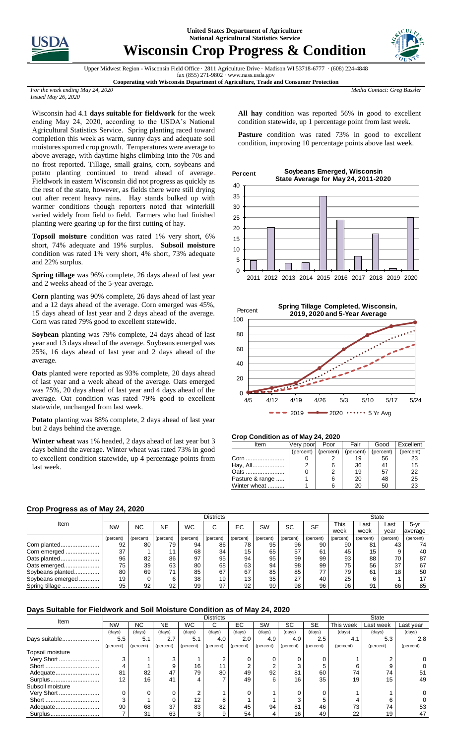



# **Wisconsin Crop Progress & Condition**



Upper Midwest Region - Wisconsin Field Office · 2811 Agriculture Drive · Madison WI 53718-6777 · (608) 224-4848

fax (855) 271-9802 · www.nass.usda.gov **Cooperating with Wisconsin Department of Agriculture, Trade and Consumer Protection**

*Media Contact: Greg Bussler*

*For the week ending May 24, 2020 Issued May 26, 2020*

Wisconsin had 4.1 **days suitable for fieldwork** for the week ending May 24, 2020, according to the USDA's National Agricultural Statistics Service. Spring planting raced toward completion this week as warm, sunny days and adequate soil moistures spurred crop growth. Temperatures were average to above average, with daytime highs climbing into the 70s and no frost reported. Tillage, small grains, corn, soybeans and potato planting continued to trend ahead of average. Fieldwork in eastern Wisconsin did not progress as quickly as the rest of the state, however, as fields there were still drying out after recent heavy rains. Hay stands bulked up with warmer conditions though reporters noted that winterkill varied widely from field to field. Farmers who had finished planting were gearing up for the first cutting of hay.

**Topsoil moisture** condition was rated 1% very short, 6% short, 74% adequate and 19% surplus. **Subsoil moisture** condition was rated 1% very short, 4% short, 73% adequate and 22% surplus.

**Spring tillage** was 96% complete, 26 days ahead of last year and 2 weeks ahead of the 5-year average.

**Corn** planting was 90% complete, 26 days ahead of last year and a 12 days ahead of the average. Corn emerged was 45%, 15 days ahead of last year and 2 days ahead of the average. Corn was rated 79% good to excellent statewide.

**Soybean** planting was 79% complete, 24 days ahead of last year and 13 days ahead of the average. Soybeans emerged was 25%, 16 days ahead of last year and 2 days ahead of the average.

**Oats** planted were reported as 93% complete, 20 days ahead of last year and a week ahead of the average. Oats emerged was 75%, 20 days ahead of last year and 4 days ahead of the average. Oat condition was rated 79% good to excellent statewide, unchanged from last week.

**Potato** planting was 88% complete, 2 days ahead of last year but 2 days behind the average.

**Winter wheat** was 1% headed, 2 days ahead of last year but 3 days behind the average. Winter wheat was rated 73% in good to excellent condition statewide, up 4 percentage points from last week.

**All hay** condition was reported 56% in good to excellent condition statewide, up 1 percentage point from last week.

Pasture condition was rated 73% in good to excellent condition, improving 10 percentage points above last week.





### **Crop Condition as of May 24, 2020**

| Item            | Verv poor | Poor      | Fair      | Good      | Excellent |
|-----------------|-----------|-----------|-----------|-----------|-----------|
|                 | (percent) | (percent) | (percent) | (percent) | (percent) |
| Corn            |           |           | 19        | 56        | 23        |
| Hay, All        |           |           | 36        | 41        | 15        |
| Oats            |           |           | 19        | 57        | 22        |
| Pasture & range |           |           | 20        | 48        | 25        |
| Winter wheat    |           |           | 20        | 50        | 23        |

### **Crop Progress as of May 24, 2020**

|                  |           | <b>Districts</b> |           |           |           |           |           |           |           |           |           | <b>State</b> |           |  |  |
|------------------|-----------|------------------|-----------|-----------|-----------|-----------|-----------|-----------|-----------|-----------|-----------|--------------|-----------|--|--|
| Item             | <b>NW</b> | NC               | <b>NE</b> | WC        | С         | EC        | SW        | SC        | <b>SE</b> | This      | Last      | Last         | $5 - yr$  |  |  |
|                  |           |                  |           |           |           |           |           |           |           | week      | week      | vear         | average   |  |  |
|                  | (percent) | (percent)        | (percent) | (percent) | (percent) | (percent) | (percent) | (percent) | (percent) | (percent) | (percent) | (percent)    | (percent) |  |  |
| Corn planted     | 92        | 80               | 79        | 94        | 86        | 78        | 95        | 96        | 90        | 90        | 81        | 43           | 74        |  |  |
| Corn emerged     | 37        |                  |           | 68        | 34        | 15        | 65        | 57        | 61        | 45        | 15        |              | 40        |  |  |
| Oats planted     | 96        | 82               | 86        | 97        | 95        | 94        | 95        | 99        | 99        | 93        | 88        | 70           | 87        |  |  |
| Oats emerged     | 75        | 39               | 63        | 80        | 68        | 63        | 94        | 98        | 99        | 75        | 56        | 37           | 67        |  |  |
| Soybeans planted | 80        | 69               | 71        | 85        | 67        | 67        | 85        | 85        | 77        | 79        | 61        | 18           | 50        |  |  |
| Soybeans emerged | 19        |                  |           | 38        | 19        | 13        | 35        | 27        | 40        | 25        | 6         |              | 17        |  |  |
| Spring tillage   | 95        | 92               | 92        | 99        | 97        | 92        | 99        | 98        | 96        | 96        | 91        | 66           | 85        |  |  |

# **Days Suitable for Fieldwork and Soil Moisture Condition as of May 24, 2020**

| Item             |           |           |           | <b>State</b> |           |           |           |           |           |           |           |           |
|------------------|-----------|-----------|-----------|--------------|-----------|-----------|-----------|-----------|-----------|-----------|-----------|-----------|
|                  | <b>NW</b> | NC.       | NE        | <b>WC</b>    | ⌒<br>U    | EC        | SW        | SC        | <b>SE</b> | This week | Last week | Last year |
|                  | (days)    | (days)    | (days)    | (days)       | (days)    | (days)    | (days)    | (days)    | (days)    | (days)    | (days)    | (days)    |
| Days suitable    | 5.5       | 5.1       | 2.7       | 5.1          | 4.0       | 2.0       | 4.9       | 4.0       | 2.5       | 4.1       | 5.3       | 2.8       |
|                  | (percent) | (percent) | (percent) | (percent)    | (percent) | (percent) | (percent) | (percent) | (percent) | (percent) | (percent) | (percent) |
| Topsoil moisture |           |           |           |              |           |           |           |           |           |           |           |           |
| Very Short       | 3         |           |           |              |           |           | 0         |           |           |           |           |           |
|                  | 4         |           |           | 16           | 11        | ົ         | 2         |           |           | h         |           |           |
| Adequate         | 81        | 82        | 47        | 79           | 80        | 49        | 92        | 81        | 60        | 74        | 74        | 51        |
| Surplus          | 12        | 16        | 41        | 4            |           | 49        | 6         | 16        | 35        | 19        | 15        | 49        |
| Subsoil moisture |           |           |           |              |           |           |           |           |           |           |           |           |
| Very Short       | 0         |           |           | C            |           |           |           |           |           |           |           |           |
| Short            | 3         |           |           | 12           |           |           |           |           |           |           |           |           |
| Adequate         | 90        | 68        | 37        | 83           | 82        | 45        | 94        | 81        | 46        | 73        | 74        | 53        |
| Surplus          |           | 31        | 63        | 3            | 9         | 54        | 4         | 16        | 49        | 22        | 19        | 47        |